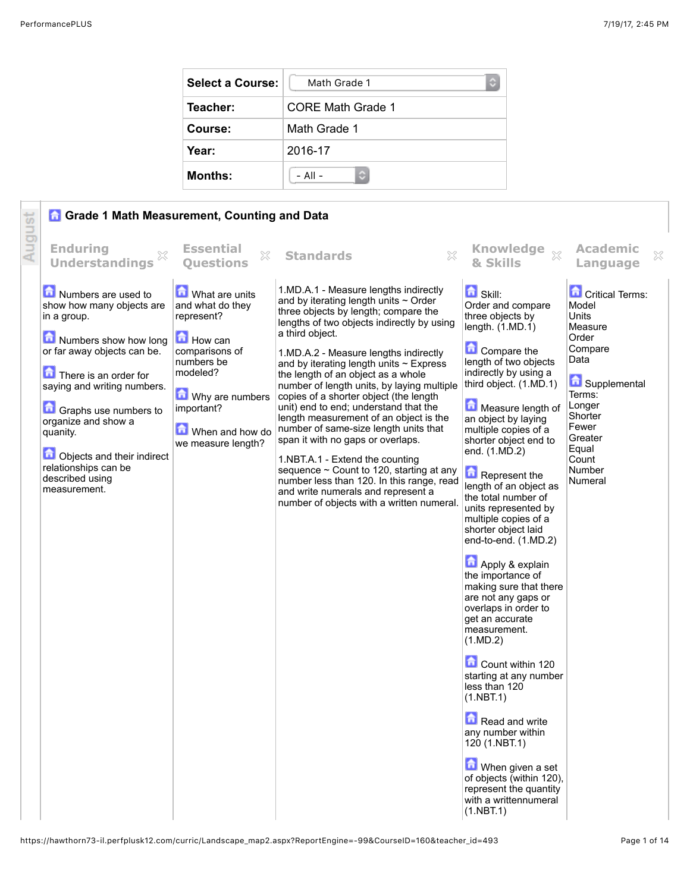| <b>Select a Course:</b> | Math Grade 1<br>$\mathbb{C}$ |
|-------------------------|------------------------------|
| Teacher:                | CORE Math Grade 1            |
| Course:                 | Math Grade 1                 |
| Year:                   | 2016-17                      |
| <b>Months:</b>          | $-$ All $-$                  |

|        | <b>Grade 1 Math Measurement, Counting and Data</b>                                                                                                                                                                                                                                                                                   |                                                                                                                                                                                   |                                                                                                                                                                                                                                                                                                                                                                                                                                                                                                                                                                                                                                                                                                                                                                                                          |                                                                                                                                                                                                                                                                                                                                                                                                                                                                                                                                                                                                                                                                                                                                                                                                                                                                              |                                                                                                                                                                                           |
|--------|--------------------------------------------------------------------------------------------------------------------------------------------------------------------------------------------------------------------------------------------------------------------------------------------------------------------------------------|-----------------------------------------------------------------------------------------------------------------------------------------------------------------------------------|----------------------------------------------------------------------------------------------------------------------------------------------------------------------------------------------------------------------------------------------------------------------------------------------------------------------------------------------------------------------------------------------------------------------------------------------------------------------------------------------------------------------------------------------------------------------------------------------------------------------------------------------------------------------------------------------------------------------------------------------------------------------------------------------------------|------------------------------------------------------------------------------------------------------------------------------------------------------------------------------------------------------------------------------------------------------------------------------------------------------------------------------------------------------------------------------------------------------------------------------------------------------------------------------------------------------------------------------------------------------------------------------------------------------------------------------------------------------------------------------------------------------------------------------------------------------------------------------------------------------------------------------------------------------------------------------|-------------------------------------------------------------------------------------------------------------------------------------------------------------------------------------------|
| August | <b>Enduring</b><br>×<br><b>Understandings</b>                                                                                                                                                                                                                                                                                        | <b>Essential</b><br>53<br><b>Ouestions</b>                                                                                                                                        | $\mathbb{S}^2$<br><b>Standards</b>                                                                                                                                                                                                                                                                                                                                                                                                                                                                                                                                                                                                                                                                                                                                                                       | <b>Knowledge</b><br>$\mathbb{X}$<br>& Skills                                                                                                                                                                                                                                                                                                                                                                                                                                                                                                                                                                                                                                                                                                                                                                                                                                 | <b>Academic</b><br>×<br>Language                                                                                                                                                          |
|        | Numbers are used to<br>show how many objects are<br>in a group.<br>Numbers show how long<br>or far away objects can be.<br>There is an order for<br>saying and writing numbers.<br>Graphs use numbers to<br>organize and show a<br>quanity.<br>Objects and their indirect<br>relationships can be<br>described using<br>measurement. | What are units<br>and what do they<br>represent?<br>How can<br>comparisons of<br>numbers be<br>modeled?<br>Why are numbers<br>important?<br>When and how do<br>we measure length? | 1.MD.A.1 - Measure lengths indirectly<br>and by iterating length units $\sim$ Order<br>three objects by length; compare the<br>lengths of two objects indirectly by using<br>a third object.<br>1.MD.A.2 - Measure lengths indirectly<br>and by iterating length units $\sim$ Express<br>the length of an object as a whole<br>number of length units, by laying multiple<br>copies of a shorter object (the length<br>unit) end to end; understand that the<br>length measurement of an object is the<br>number of same-size length units that<br>span it with no gaps or overlaps.<br>1.NBT.A.1 - Extend the counting<br>sequence $\sim$ Count to 120, starting at any<br>number less than 120. In this range, read<br>and write numerals and represent a<br>number of objects with a written numeral. | <b>f</b> Skill:<br>Order and compare<br>three objects by<br>length. $(1.MD.1)$<br>Compare the<br>length of two objects<br>indirectly by using a<br>third object. (1.MD.1)<br>Measure length of<br>an object by laying<br>multiple copies of a<br>shorter object end to<br>end. (1.MD.2)<br>Represent the<br>length of an object as<br>the total number of<br>units represented by<br>multiple copies of a<br>shorter object laid<br>end-to-end. (1.MD.2)<br>Apply & explain<br>the importance of<br>making sure that there<br>are not any gaps or<br>overlaps in order to<br>get an accurate<br>measurement.<br>(1.MD.2)<br>Count within 120<br>starting at any number<br>less than 120<br>(1.NBT.1)<br>Read and write<br>any number within<br>120 (1.NBT.1)<br>When given a set<br>of objects (within 120),<br>represent the quantity<br>with a writtennumeral<br>(1.NBT.1) | <b>Critical Terms:</b><br>Model<br>Units<br>Measure<br>Order<br>Compare<br>Data<br>Supplemental<br>Terms:<br>Longer<br>Shorter<br>Fewer<br>Greater<br>Equal<br>Count<br>Number<br>Numeral |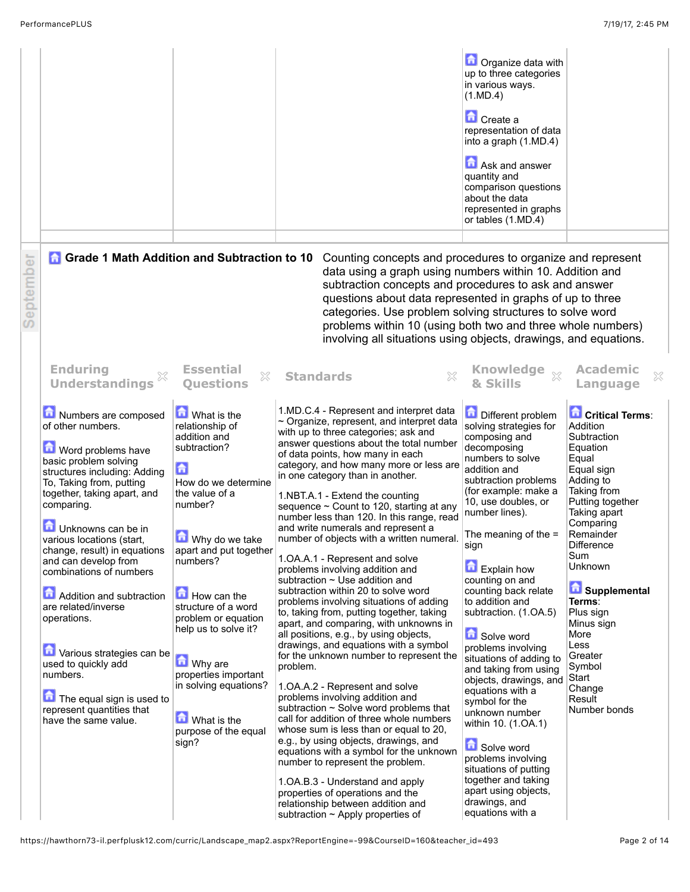|           |                                                                                                                                                                                                                                                                                                                                                                                                                                                                                                                                                             |                                                                                                                                                                                                                                                                                                                                                                                                    |                  |                                                                                                                                                                                                                                                                                                                                                                                                                                                                                                                                                                                                                                                                                                                                                                                                                                                                                                                                                                                                                                                                                                                                                                                                                                                                                                                                                                                                                                  | <b>D</b> Organize data with<br>up to three categories<br>in various ways.<br>(1.MD.4)<br>Create a<br>representation of data<br>into a graph (1.MD.4)<br>Ask and answer<br>quantity and<br>comparison questions<br>about the data<br>represented in graphs<br>or tables (1.MD.4)                                                                                                                                                                                                                                                                                                                                                                                                                                    |                                                                                                                                                                                                                                                                                                                                                       |
|-----------|-------------------------------------------------------------------------------------------------------------------------------------------------------------------------------------------------------------------------------------------------------------------------------------------------------------------------------------------------------------------------------------------------------------------------------------------------------------------------------------------------------------------------------------------------------------|----------------------------------------------------------------------------------------------------------------------------------------------------------------------------------------------------------------------------------------------------------------------------------------------------------------------------------------------------------------------------------------------------|------------------|----------------------------------------------------------------------------------------------------------------------------------------------------------------------------------------------------------------------------------------------------------------------------------------------------------------------------------------------------------------------------------------------------------------------------------------------------------------------------------------------------------------------------------------------------------------------------------------------------------------------------------------------------------------------------------------------------------------------------------------------------------------------------------------------------------------------------------------------------------------------------------------------------------------------------------------------------------------------------------------------------------------------------------------------------------------------------------------------------------------------------------------------------------------------------------------------------------------------------------------------------------------------------------------------------------------------------------------------------------------------------------------------------------------------------------|--------------------------------------------------------------------------------------------------------------------------------------------------------------------------------------------------------------------------------------------------------------------------------------------------------------------------------------------------------------------------------------------------------------------------------------------------------------------------------------------------------------------------------------------------------------------------------------------------------------------------------------------------------------------------------------------------------------------|-------------------------------------------------------------------------------------------------------------------------------------------------------------------------------------------------------------------------------------------------------------------------------------------------------------------------------------------------------|
| September | <b>Grade 1 Math Addition and Subtraction to 10</b>                                                                                                                                                                                                                                                                                                                                                                                                                                                                                                          |                                                                                                                                                                                                                                                                                                                                                                                                    |                  | Counting concepts and procedures to organize and represent<br>data using a graph using numbers within 10. Addition and<br>subtraction concepts and procedures to ask and answer<br>questions about data represented in graphs of up to three<br>categories. Use problem solving structures to solve word<br>problems within 10 (using both two and three whole numbers)<br>involving all situations using objects, drawings, and equations.                                                                                                                                                                                                                                                                                                                                                                                                                                                                                                                                                                                                                                                                                                                                                                                                                                                                                                                                                                                      |                                                                                                                                                                                                                                                                                                                                                                                                                                                                                                                                                                                                                                                                                                                    |                                                                                                                                                                                                                                                                                                                                                       |
|           | <b>Enduring</b><br><b>Understandings</b>                                                                                                                                                                                                                                                                                                                                                                                                                                                                                                                    | <b>Essential</b><br>X<br><b>Ouestions</b>                                                                                                                                                                                                                                                                                                                                                          | <b>Standards</b> | ×                                                                                                                                                                                                                                                                                                                                                                                                                                                                                                                                                                                                                                                                                                                                                                                                                                                                                                                                                                                                                                                                                                                                                                                                                                                                                                                                                                                                                                | <b>Knowledge</b><br>$\chi$<br>& Skills                                                                                                                                                                                                                                                                                                                                                                                                                                                                                                                                                                                                                                                                             | <b>Academic</b><br>×<br>Language                                                                                                                                                                                                                                                                                                                      |
|           | Numbers are composed<br>of other numbers.<br>Word problems have<br>basic problem solving<br>structures including: Adding<br>To, Taking from, putting<br>together, taking apart, and<br>comparing.<br>Unknowns can be in<br>various locations (start,<br>change, result) in equations<br>and can develop from<br>combinations of numbers<br>Addition and subtraction<br>are related/inverse<br>operations.<br>Various strategies can be<br>used to quickly add<br>numbers.<br>The equal sign is used to<br>represent quantities that<br>have the same value. | What is the<br>relationship of<br>addition and<br>subtraction?<br>6<br>How do we determine<br>the value of a<br>number?<br>Why do we take<br>apart and put together<br>numbers?<br>How can the<br>structure of a word<br>problem or equation<br>help us to solve it?<br><b>M</b> Why are<br>properties important<br>in solving equations?<br><b>M</b> What is the<br>purpose of the equal<br>sign? | problem.         | 1.MD.C.4 - Represent and interpret data<br>$\sim$ Organize, represent, and interpret data<br>with up to three categories; ask and<br>answer questions about the total number<br>of data points, how many in each<br>category, and how many more or less are<br>in one category than in another.<br>1.NBT.A.1 - Extend the counting<br>sequence $\sim$ Count to 120, starting at any<br>number less than 120. In this range, read<br>and write numerals and represent a<br>number of objects with a written numeral.<br>1.OA.A.1 - Represent and solve<br>problems involving addition and<br>subtraction $\sim$ Use addition and<br>subtraction within 20 to solve word<br>problems involving situations of adding<br>to, taking from, putting together, taking<br>apart, and comparing, with unknowns in<br>all positions, e.g., by using objects,<br>drawings, and equations with a symbol<br>for the unknown number to represent the<br>1. OA.A. 2 - Represent and solve<br>problems involving addition and<br>subtraction $\sim$ Solve word problems that<br>call for addition of three whole numbers<br>whose sum is less than or equal to 20,<br>e.g., by using objects, drawings, and<br>equations with a symbol for the unknown<br>number to represent the problem.<br>1.OA.B.3 - Understand and apply<br>properties of operations and the<br>relationship between addition and<br>subtraction $\sim$ Apply properties of | <b>Different problem</b><br>solving strategies for<br>composing and<br>decomposing<br>numbers to solve<br>addition and<br>subtraction problems<br>(for example: make a<br>10, use doubles, or<br>number lines).<br>The meaning of the $=$<br>sign<br>Explain how<br>counting on and<br>counting back relate<br>to addition and<br>subtraction. (1.OA.5)<br>Solve word<br>problems involving<br>situations of adding to<br>and taking from using<br>objects, drawings, and<br>equations with a<br>symbol for the<br>unknown number<br>within 10. (1.OA.1)<br><b>G</b> Solve word<br>problems involving<br>situations of putting<br>together and taking<br>apart using objects,<br>drawings, and<br>equations with a | <b>Critical Terms:</b><br>Addition<br>Subtraction<br>Equation<br>Equal<br>Equal sign<br>Adding to<br>Taking from<br>Putting together<br>Taking apart<br>Comparing<br>Remainder<br>Difference<br>Sum<br>Unknown<br>Supplemental<br>Terms:<br>Plus sign<br>Minus sign<br>More<br>Less<br>Greater<br>Symbol<br>Start<br>Change<br>Result<br>Number bonds |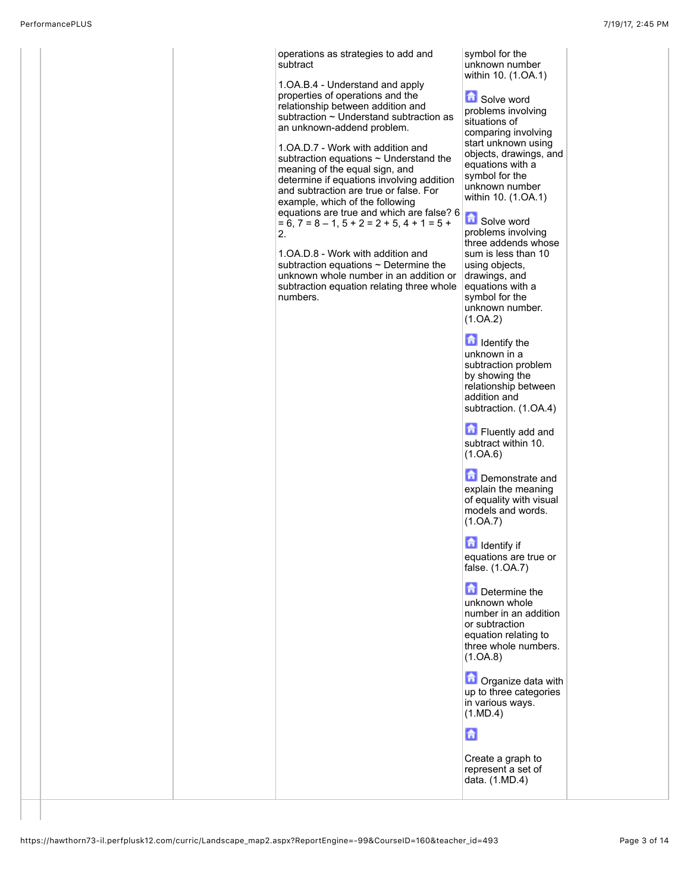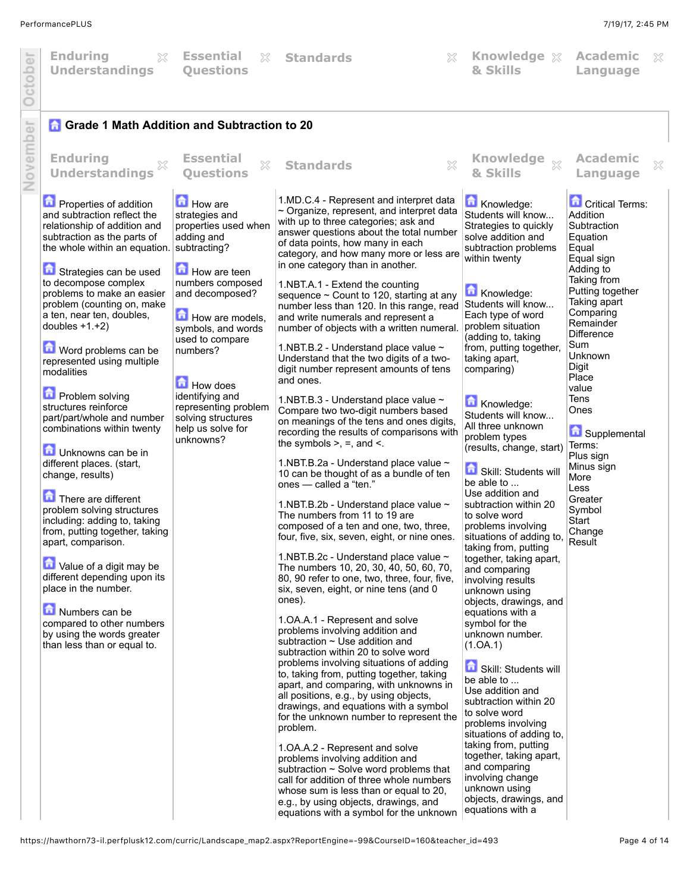$\chi$ 

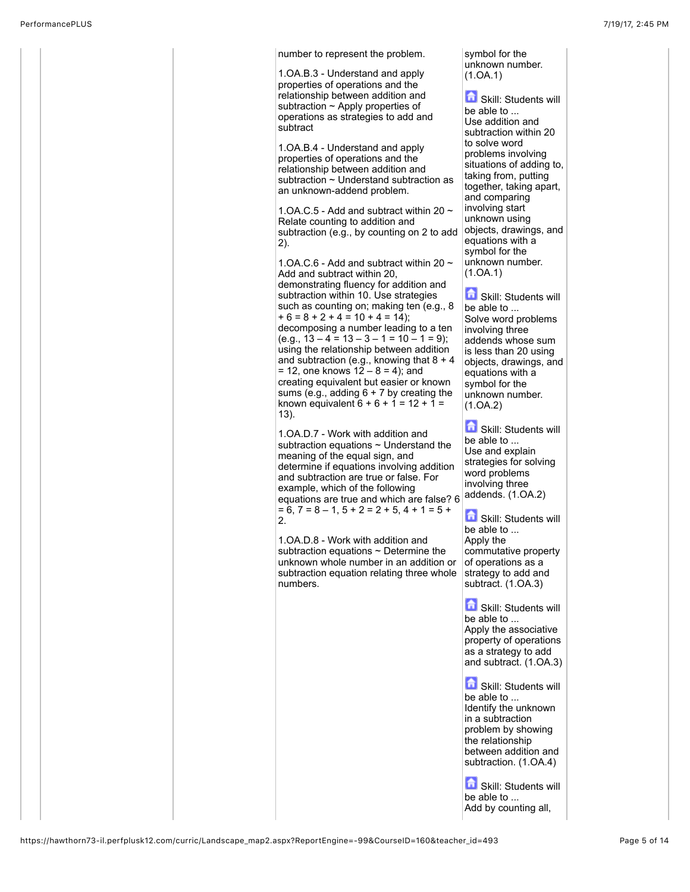| number to represent the problem.                                                          | symbol for the<br>unknown number.               |
|-------------------------------------------------------------------------------------------|-------------------------------------------------|
| 1. OA. B. 3 - Understand and apply<br>properties of operations and the                    | (1.0A.1)                                        |
| relationship between addition and                                                         | h<br>Skill: Students will                       |
| subtraction $\sim$ Apply properties of<br>operations as strategies to add and             | be able to                                      |
| subtract                                                                                  | Use addition and<br>subtraction within 20       |
| 1. OA. B. 4 - Understand and apply                                                        | to solve word                                   |
| properties of operations and the                                                          | problems involving<br>situations of adding to,  |
| relationship between addition and<br>subtraction ~ Understand subtraction as              | taking from, putting                            |
| an unknown-addend problem.                                                                | together, taking apart,<br>and comparing        |
| 1.OA.C.5 - Add and subtract within 20 $\sim$                                              | involving start                                 |
| Relate counting to addition and                                                           | unknown using<br>objects, drawings, and         |
| subtraction (e.g., by counting on 2 to add<br>2).                                         | equations with a                                |
| 1.OA.C.6 - Add and subtract within 20 $\sim$                                              | symbol for the<br>unknown number.               |
| Add and subtract within 20.                                                               | (1.0A.1)                                        |
| demonstrating fluency for addition and<br>subtraction within 10. Use strategies           | Skill: Students will                            |
| such as counting on; making ten (e.g., 8)                                                 | be able to                                      |
| $+6 = 8 + 2 + 4 = 10 + 4 = 14$ ;<br>decomposing a number leading to a ten                 | Solve word problems<br>involving three          |
| $(e.q., 13-4=13-3-1=10-1=9);$                                                             | addends whose sum                               |
| using the relationship between addition<br>and subtraction (e.g., knowing that $8 + 4$    | is less than 20 using<br>objects, drawings, and |
| $= 12$ , one knows $12 - 8 = 4$ ); and                                                    | equations with a                                |
| creating equivalent but easier or known<br>sums (e.g., adding $6 + 7$ by creating the     | symbol for the<br>unknown number.               |
| known equivalent $6 + 6 + 1 = 12 + 1 =$                                                   | (1.0A.2)                                        |
| $(13)$ .                                                                                  | Skill: Students will                            |
| 1.OA.D.7 - Work with addition and<br>subtraction equations $\sim$ Understand the          | be able to                                      |
| meaning of the equal sign, and                                                            | Use and explain<br>strategies for solving       |
| determine if equations involving addition<br>and subtraction are true or false. For       | word problems                                   |
| example, which of the following                                                           | involving three<br>addends. (1.OA.2)            |
| equations are true and which are false? 6<br>$= 6, 7 = 8 - 1, 5 + 2 = 2 + 5, 4 + 1 = 5 +$ |                                                 |
| 2.                                                                                        | Skill: Students will<br>be able to              |
| 1.OA.D.8 - Work with addition and                                                         | Apply the                                       |
| subtraction equations $\sim$ Determine the<br>unknown whole number in an addition or      | commutative property<br>of operations as a      |
| subtraction equation relating three whole                                                 | strategy to add and                             |
| numbers.                                                                                  | subtract. (1.OA.3)                              |
|                                                                                           | Skill: Students will                            |
|                                                                                           | be able to<br>Apply the associative             |
|                                                                                           | property of operations                          |
|                                                                                           | as a strategy to add<br>and subtract. (1.OA.3)  |
|                                                                                           |                                                 |
|                                                                                           | Skill: Students will<br>be able to              |
|                                                                                           | Identify the unknown                            |
|                                                                                           | in a subtraction                                |
|                                                                                           | problem by showing<br>the relationship          |
|                                                                                           | between addition and<br>subtraction. (1.OA.4)   |
|                                                                                           |                                                 |
|                                                                                           | Skill: Students will                            |
|                                                                                           | be able to<br>Add by counting all,              |
|                                                                                           |                                                 |

https://hawthorn73-il.perfplusk12.com/curric/Landscape\_map2.aspx?ReportEngine=-99&CourseID=160&teacher\_id=493 Page 5 of 14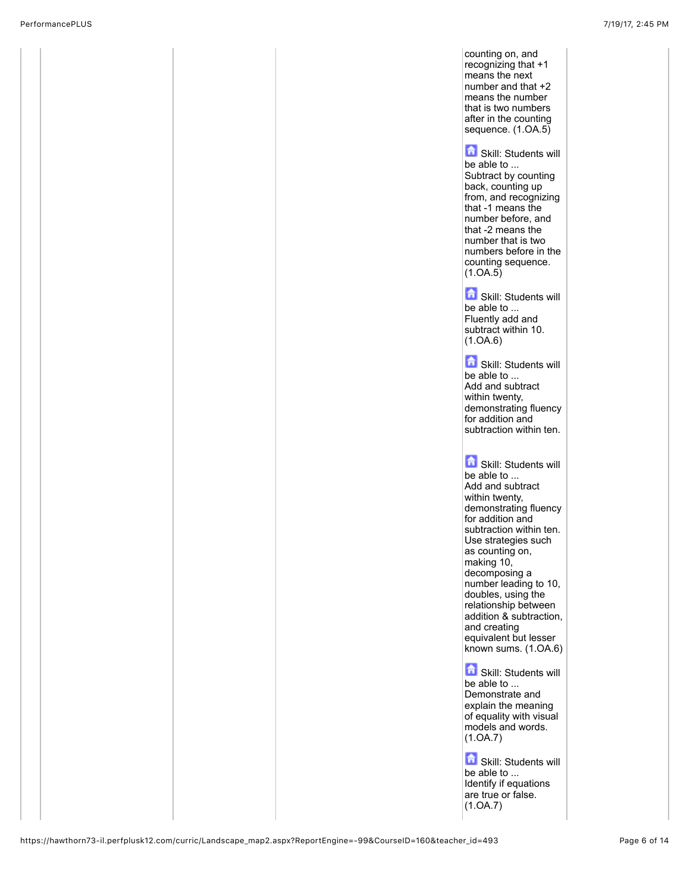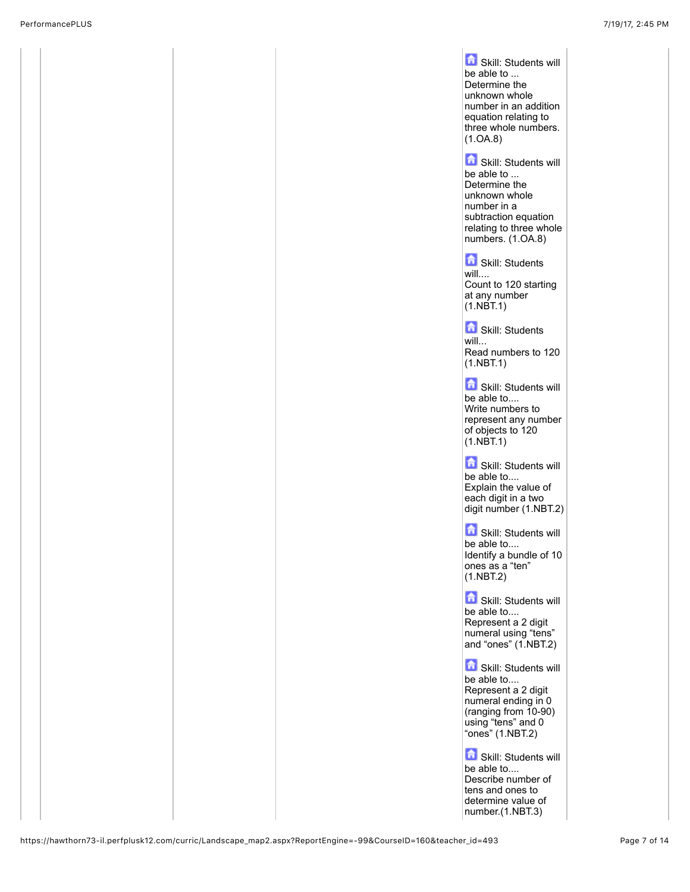![](_page_6_Picture_2.jpeg)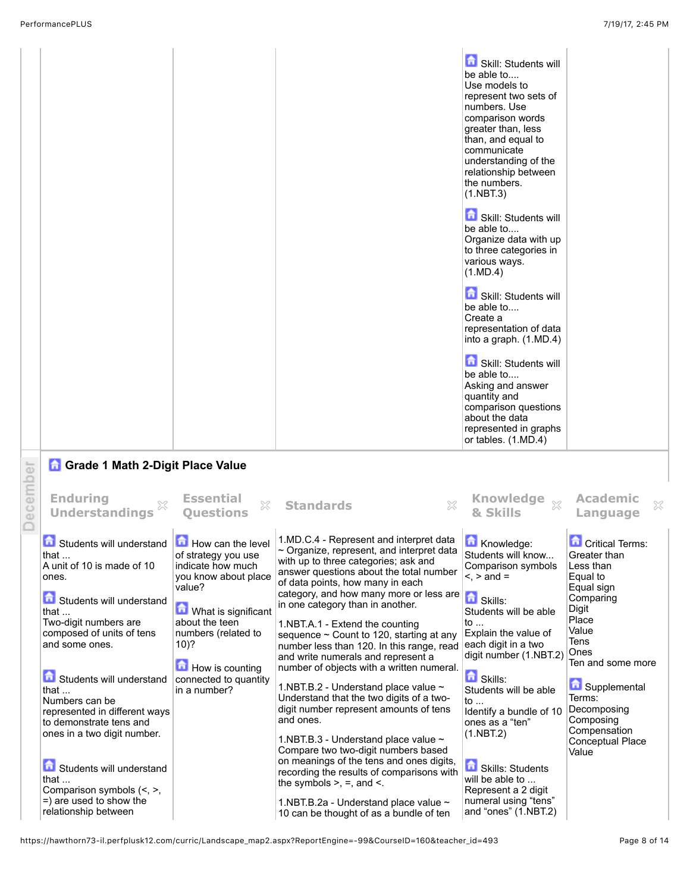|          |                                                                                                                                                       |                                                                                                 |                                                                                                                                                                                                                                                             | Skill: Students will<br>be able to<br>Use models to<br>represent two sets of<br>numbers. Use<br>comparison words<br>greater than, less<br>than, and equal to<br>communicate<br>understanding of the<br>relationship between<br>the numbers.<br>(1.NBT.3) |                                                                               |
|----------|-------------------------------------------------------------------------------------------------------------------------------------------------------|-------------------------------------------------------------------------------------------------|-------------------------------------------------------------------------------------------------------------------------------------------------------------------------------------------------------------------------------------------------------------|----------------------------------------------------------------------------------------------------------------------------------------------------------------------------------------------------------------------------------------------------------|-------------------------------------------------------------------------------|
|          |                                                                                                                                                       |                                                                                                 |                                                                                                                                                                                                                                                             | Skill: Students will<br>be able to<br>Organize data with up<br>to three categories in<br>various ways.<br>(1.MD.4)                                                                                                                                       |                                                                               |
|          |                                                                                                                                                       |                                                                                                 |                                                                                                                                                                                                                                                             | Skill: Students will<br>be able to<br>Create a<br>representation of data<br>into a graph. (1.MD.4)                                                                                                                                                       |                                                                               |
|          |                                                                                                                                                       |                                                                                                 |                                                                                                                                                                                                                                                             | Skill: Students will<br>be able to<br>Asking and answer<br>quantity and<br>comparison questions<br>about the data<br>represented in graphs<br>or tables. (1.MD.4)                                                                                        |                                                                               |
|          | <b>n</b> Grade 1 Math 2-Digit Place Value                                                                                                             |                                                                                                 |                                                                                                                                                                                                                                                             |                                                                                                                                                                                                                                                          |                                                                               |
| December | <b>Enduring</b><br><b>Understandings</b>                                                                                                              | <b>Essential</b><br>X<br><b>Ouestions</b>                                                       | X<br><b>Standards</b>                                                                                                                                                                                                                                       | <b>Knowledge</b><br>$\chi$<br>& Skills                                                                                                                                                                                                                   | <b>Academic</b><br>X<br>Language                                              |
|          | Students will understand<br>that $\dots$<br>A unit of 10 is made of 10<br>ones.                                                                       | How can the level<br>of strategy you use<br>indicate how much<br>you know about place<br>value? | 1.MD.C.4 - Represent and interpret data<br>$\sim$ Organize, represent, and interpret data<br>with up to three categories; ask and<br>answer questions about the total number<br>of data points, how many in each<br>category, and how many more or less are | Knowledge:<br>Students will know<br>Comparison symbols<br>$\leq$ , $>$ and $=$                                                                                                                                                                           | <b>Critical Terms:</b><br>Greater than<br>Less than<br>Equal to<br>Equal sign |
|          | Students will understand<br>that<br>Two-digit numbers are<br>composed of units of tens<br>and some ones.                                              | What is significant<br>about the teen<br>numbers (related to<br>10)?<br>How is counting         | in one category than in another.<br>1.NBT.A.1 - Extend the counting<br>sequence $\sim$ Count to 120, starting at any<br>number less than 120. In this range, read<br>and write numerals and represent a<br>number of objects with a written numeral.        | Skills:<br>Students will be able<br>to<br>Explain the value of<br>each digit in a two<br>digit number (1.NBT.2)                                                                                                                                          | Comparing<br>Digit<br>Place<br>Value<br>Tens<br>Ones<br>Ten and some more     |
|          | Students will understand<br>that $\dots$<br>Numbers can be<br>represented in different ways<br>to demonstrate tens and<br>ones in a two digit number. | connected to quantity<br>in a number?                                                           | 1.NBT.B.2 - Understand place value ~<br>Understand that the two digits of a two-<br>digit number represent amounts of tens<br>and ones.                                                                                                                     | <b>D</b> Skills:<br>Students will be able<br>to<br>Identify a bundle of 10<br>ones as a "ten"<br>(1.NBT.2)                                                                                                                                               | Supplemental<br>Terms:<br>Decomposing<br>Composing<br>Compensation            |
|          | Students will understand<br>that<br>Comparison symbols (<, >,<br>$=$ ) are used to show the                                                           |                                                                                                 | 1.NBT.B.3 - Understand place value ~<br>Compare two two-digit numbers based<br>on meanings of the tens and ones digits,<br>recording the results of comparisons with<br>the symbols $>$ , $=$ , and $\le$ .<br>1.NBT.B.2a - Understand place value ~        | Skills: Students<br>will be able to<br>Represent a 2 digit<br>numeral using "tens"                                                                                                                                                                       | Conceptual Place<br>Value                                                     |
|          | relationship between                                                                                                                                  |                                                                                                 | 10 can be thought of as a bundle of ten                                                                                                                                                                                                                     | and "ones" (1.NBT.2)                                                                                                                                                                                                                                     |                                                                               |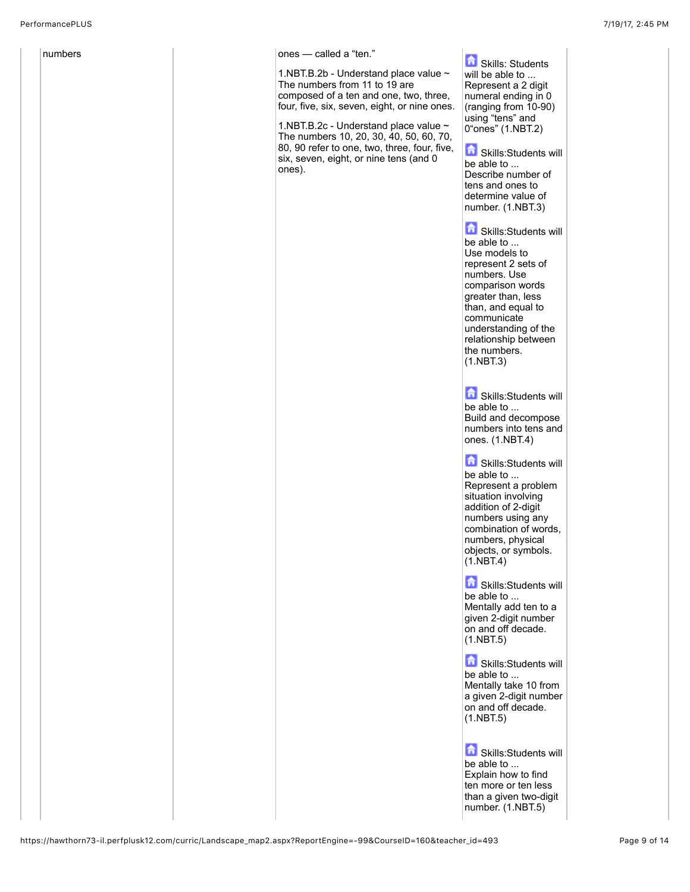![](_page_8_Picture_2.jpeg)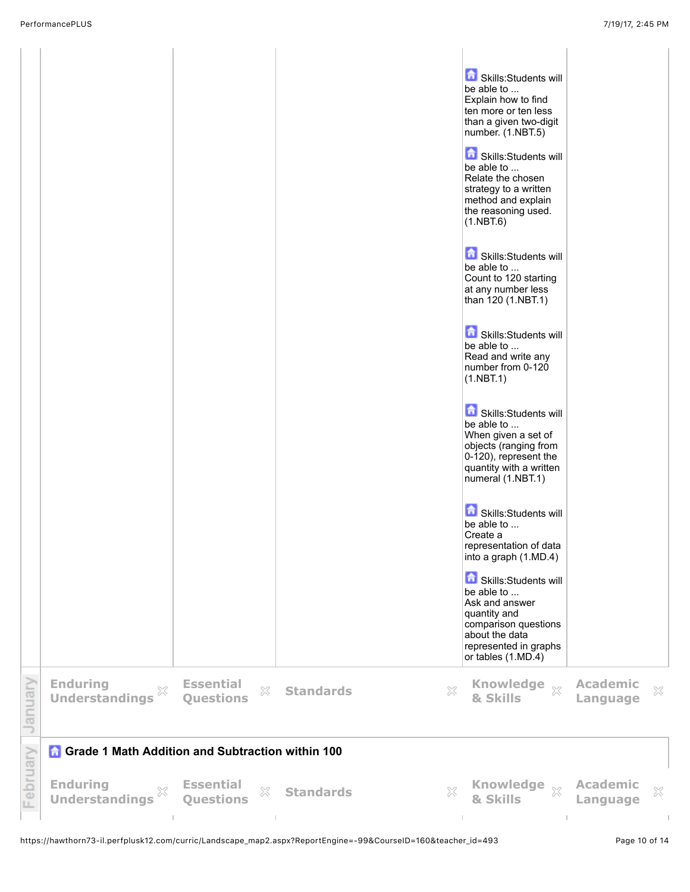|          |                                                         |                                                 |                       | Skills:Students will<br>be able to<br>Explain how to find<br>ten more or ten less<br>than a given two-digit<br>number. (1.NBT.5)<br>Skills:Students will<br>be able to<br>Relate the chosen<br>strategy to a written<br>method and explain<br>the reasoning used.<br>(1.NBT.6)<br>Skills:Students will<br>be able to<br>Count to 120 starting<br>at any number less<br>than 120 (1.NBT.1)<br>Skills:Students will<br>be able to<br>Read and write any<br>number from 0-120<br>(1.NBT.1)<br>Skills:Students will<br>be able to<br>When given a set of<br>objects (ranging from<br>0-120), represent the<br>quantity with a written<br>numeral (1.NBT.1)<br>Skills:Students will<br>be able to<br>Create a<br>representation of data<br>into a graph (1.MD.4)<br>Skills:Students will<br>be able to<br>Ask and answer<br>quantity and<br>comparison questions<br>about the data<br>represented in graphs<br>or tables (1.MD.4) |                                             |         |
|----------|---------------------------------------------------------|-------------------------------------------------|-----------------------|------------------------------------------------------------------------------------------------------------------------------------------------------------------------------------------------------------------------------------------------------------------------------------------------------------------------------------------------------------------------------------------------------------------------------------------------------------------------------------------------------------------------------------------------------------------------------------------------------------------------------------------------------------------------------------------------------------------------------------------------------------------------------------------------------------------------------------------------------------------------------------------------------------------------------|---------------------------------------------|---------|
| January  | <b>Enduring</b><br>×<br><b>Understandings</b>           | <b>Essential</b><br>$\mathbb{X}$<br>Questions   | <b>Standards</b><br>× | <b>Knowledge</b><br>$\chi$<br>& Skills                                                                                                                                                                                                                                                                                                                                                                                                                                                                                                                                                                                                                                                                                                                                                                                                                                                                                       | <b>Academic</b><br>Language                 | ×       |
|          | <b>Grade 1 Math Addition and Subtraction within 100</b> |                                                 |                       |                                                                                                                                                                                                                                                                                                                                                                                                                                                                                                                                                                                                                                                                                                                                                                                                                                                                                                                              |                                             |         |
| February | <b>Enduring</b><br>X<br><b>Understandings</b>           | <b>Essential</b><br>X<br><b>Questions</b><br>т. | <b>Standards</b><br>X | <b>Knowledge</b><br>$\chi$<br>& Skills<br>T.                                                                                                                                                                                                                                                                                                                                                                                                                                                                                                                                                                                                                                                                                                                                                                                                                                                                                 | <b>Academic</b><br>Language<br>$\mathbb{R}$ | ×<br>T. |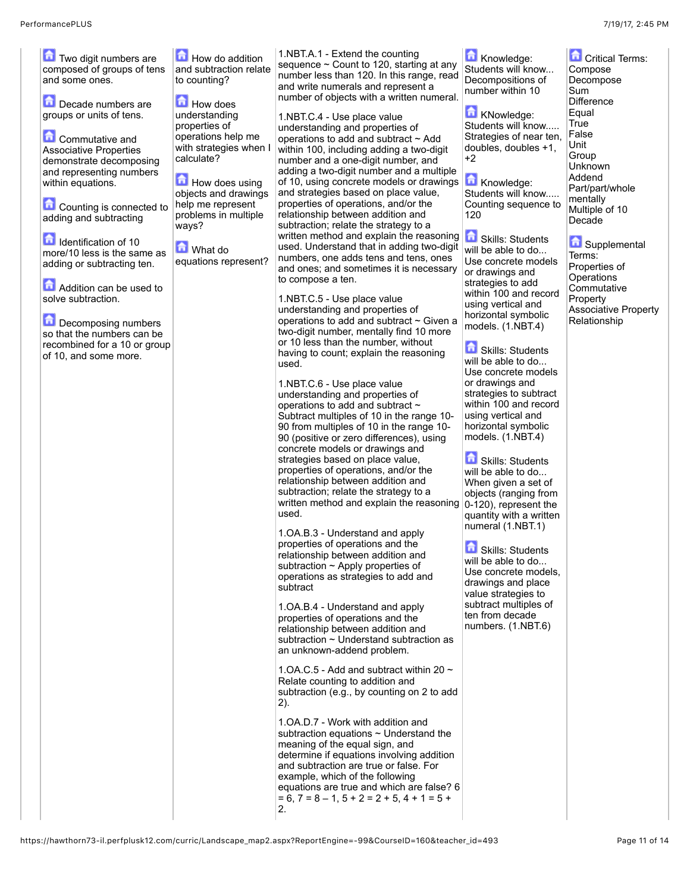| Two digit numbers are<br>composed of groups of tens<br>and some ones.<br>Decade numbers are | How do addition<br>and subtraction relate<br>to counting?<br>How does               | 1.NBT.A.1 - Extend the counting<br>sequence $\sim$ Count to 120, starting at any<br>number less than 120. In this range, read<br>and write numerals and represent a<br>number of objects with a written numeral.                                                                                                                            | Knowledge:<br>Students will know<br>Decompositions of<br>number within 10                           | <b>Critical Terms:</b><br>Compose<br>Decompose<br>Sum<br>Difference |
|---------------------------------------------------------------------------------------------|-------------------------------------------------------------------------------------|---------------------------------------------------------------------------------------------------------------------------------------------------------------------------------------------------------------------------------------------------------------------------------------------------------------------------------------------|-----------------------------------------------------------------------------------------------------|---------------------------------------------------------------------|
| groups or units of tens.<br>$\Box$ Commutative and                                          | understanding<br>properties of<br>operations help me                                | 1.NBT.C.4 - Use place value<br>understanding and properties of<br>operations to add and subtract ~ Add                                                                                                                                                                                                                                      | KNowledge:<br>Students will know<br>Strategies of near ten,                                         | Equal<br>True<br>False<br>Unit                                      |
| <b>Associative Properties</b><br>demonstrate decomposing<br>and representing numbers        | with strategies when I<br>calculate?                                                | within 100, including adding a two-digit<br>number and a one-digit number, and<br>adding a two-digit number and a multiple                                                                                                                                                                                                                  | doubles, doubles +1,<br>+2                                                                          | Group<br>Unknown<br>Addend                                          |
| within equations.<br>Counting is connected to<br>adding and subtracting                     | How does using<br>objects and drawings<br>help me represent<br>problems in multiple | of 10, using concrete models or drawings<br>and strategies based on place value,<br>properties of operations, and/or the<br>relationship between addition and                                                                                                                                                                               | Knowledge:<br>Students will know<br>Counting sequence to<br>120                                     | Part/part/whole<br>mentally<br>Multiple of 10                       |
| <b>n</b> Identification of 10<br>more/10 less is the same as                                | ways?<br>What do                                                                    | subtraction; relate the strategy to a<br>written method and explain the reasoning<br>used. Understand that in adding two-digit                                                                                                                                                                                                              | <b>Contracts</b> Skills: Students<br>will be able to do                                             | Decade<br>Supplemental                                              |
| adding or subtracting ten.<br>Addition can be used to                                       | equations represent?                                                                | numbers, one adds tens and tens, ones<br>and ones; and sometimes it is necessary<br>to compose a ten.                                                                                                                                                                                                                                       | Use concrete models<br>or drawings and<br>strategies to add                                         | Terms:<br>Properties of<br>Operations<br>Commutative                |
| solve subtraction.<br>Decomposing numbers                                                   |                                                                                     | 1.NBT.C.5 - Use place value<br>understanding and properties of<br>operations to add and subtract ~ Given a                                                                                                                                                                                                                                  | within 100 and record<br>using vertical and<br>horizontal symbolic<br>models. (1.NBT.4)             | Property<br><b>Associative Property</b><br>Relationship             |
| so that the numbers can be<br>recombined for a 10 or group<br>of 10, and some more.         |                                                                                     | two-digit number, mentally find 10 more<br>or 10 less than the number, without<br>having to count; explain the reasoning<br>used.                                                                                                                                                                                                           | 命<br><b>Skills: Students</b><br>will be able to do                                                  |                                                                     |
|                                                                                             |                                                                                     | 1.NBT.C.6 - Use place value<br>understanding and properties of                                                                                                                                                                                                                                                                              | Use concrete models<br>or drawings and<br>strategies to subtract                                    |                                                                     |
|                                                                                             |                                                                                     | operations to add and subtract ~<br>Subtract multiples of 10 in the range 10-<br>90 from multiples of 10 in the range 10-<br>90 (positive or zero differences), using                                                                                                                                                                       | within 100 and record<br>using vertical and<br>horizontal symbolic<br>models. (1.NBT.4)             |                                                                     |
|                                                                                             |                                                                                     | concrete models or drawings and<br>strategies based on place value,<br>properties of operations, and/or the                                                                                                                                                                                                                                 | Skills: Students<br>will be able to do                                                              |                                                                     |
|                                                                                             |                                                                                     | relationship between addition and<br>subtraction; relate the strategy to a<br>written method and explain the reasoning<br>used.                                                                                                                                                                                                             | When given a set of<br>objects (ranging from<br>$ 0-120$ , represent the<br>quantity with a written |                                                                     |
|                                                                                             |                                                                                     | 1.OA.B.3 - Understand and apply<br>properties of operations and the<br>relationship between addition and                                                                                                                                                                                                                                    | numeral (1.NBT.1)<br>Skills: Students                                                               |                                                                     |
|                                                                                             |                                                                                     | subtraction $\sim$ Apply properties of<br>operations as strategies to add and<br>subtract                                                                                                                                                                                                                                                   | will be able to do<br>Use concrete models,<br>drawings and place<br>value strategies to             |                                                                     |
|                                                                                             |                                                                                     | 1. OA. B. 4 - Understand and apply<br>properties of operations and the<br>relationship between addition and<br>subtraction $\sim$ Understand subtraction as<br>an unknown-addend problem.                                                                                                                                                   | subtract multiples of<br>ten from decade<br>numbers. (1.NBT.6)                                      |                                                                     |
|                                                                                             |                                                                                     | 1.0A.C.5 - Add and subtract within 20 $\sim$<br>Relate counting to addition and<br>subtraction (e.g., by counting on 2 to add<br>(2).                                                                                                                                                                                                       |                                                                                                     |                                                                     |
|                                                                                             |                                                                                     | 1. OA.D. 7 - Work with addition and<br>subtraction equations $\sim$ Understand the<br>meaning of the equal sign, and<br>determine if equations involving addition<br>and subtraction are true or false. For<br>example, which of the following<br>equations are true and which are false? 6<br>$= 6, 7 = 8 - 1, 5 + 2 = 2 + 5, 4 + 1 = 5 +$ |                                                                                                     |                                                                     |
|                                                                                             |                                                                                     | 2.                                                                                                                                                                                                                                                                                                                                          |                                                                                                     |                                                                     |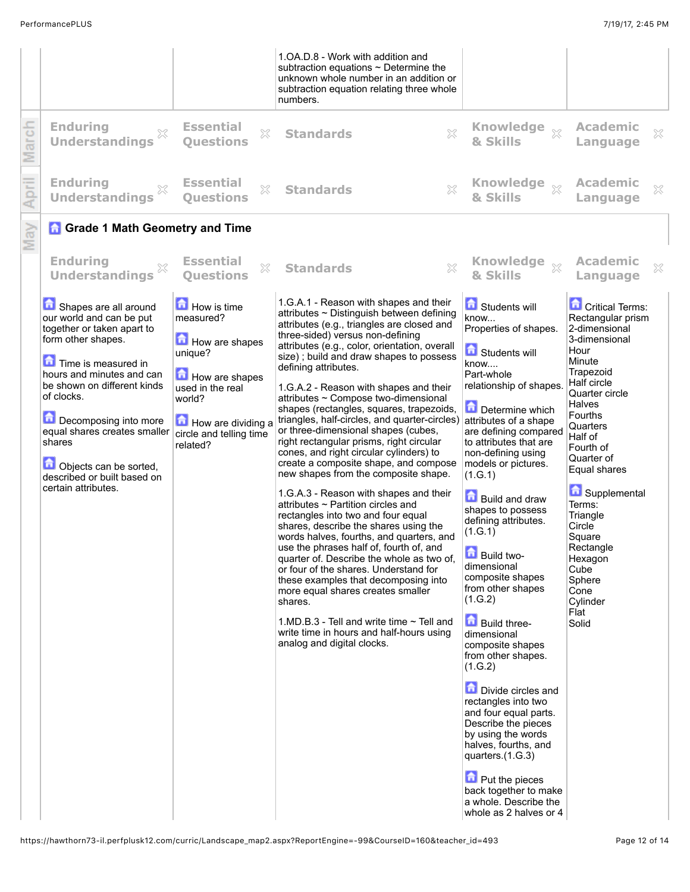|                                                                                                                                                                                                                                                                                                                                                           |                                                                                                                                                                    | 1. OA. D. 8 - Work with addition and<br>subtraction equations $\sim$ Determine the<br>unknown whole number in an addition or<br>subtraction equation relating three whole<br>numbers.                                                                                                                                                                                                                                                                                                                                                                                                                                                                                                                                                                                                                                                                                                                                                                                                                                                                                                                                                                                                                                                                                                 |                                                                                                                                                                                                                                                                                                                                                                                                                                                                                                                                                                                                                                                                                                                                                                                                                      |                                                                                                                                                                                                                                                                                                                                                                                      |           |
|-----------------------------------------------------------------------------------------------------------------------------------------------------------------------------------------------------------------------------------------------------------------------------------------------------------------------------------------------------------|--------------------------------------------------------------------------------------------------------------------------------------------------------------------|---------------------------------------------------------------------------------------------------------------------------------------------------------------------------------------------------------------------------------------------------------------------------------------------------------------------------------------------------------------------------------------------------------------------------------------------------------------------------------------------------------------------------------------------------------------------------------------------------------------------------------------------------------------------------------------------------------------------------------------------------------------------------------------------------------------------------------------------------------------------------------------------------------------------------------------------------------------------------------------------------------------------------------------------------------------------------------------------------------------------------------------------------------------------------------------------------------------------------------------------------------------------------------------|----------------------------------------------------------------------------------------------------------------------------------------------------------------------------------------------------------------------------------------------------------------------------------------------------------------------------------------------------------------------------------------------------------------------------------------------------------------------------------------------------------------------------------------------------------------------------------------------------------------------------------------------------------------------------------------------------------------------------------------------------------------------------------------------------------------------|--------------------------------------------------------------------------------------------------------------------------------------------------------------------------------------------------------------------------------------------------------------------------------------------------------------------------------------------------------------------------------------|-----------|
| <b>Enduring</b><br>×<br><b>Understandings</b>                                                                                                                                                                                                                                                                                                             | <b>Essential</b><br>X<br><b>Ouestions</b>                                                                                                                          | ×<br><b>Standards</b>                                                                                                                                                                                                                                                                                                                                                                                                                                                                                                                                                                                                                                                                                                                                                                                                                                                                                                                                                                                                                                                                                                                                                                                                                                                                 | Knowledge xx<br>& Skills                                                                                                                                                                                                                                                                                                                                                                                                                                                                                                                                                                                                                                                                                                                                                                                             | <b>Academic</b><br>Language                                                                                                                                                                                                                                                                                                                                                          | ×         |
| <b>Enduring</b><br><b>Understandings</b>                                                                                                                                                                                                                                                                                                                  | <b>Essential</b><br>X<br><b>Ouestions</b>                                                                                                                          | X<br><b>Standards</b>                                                                                                                                                                                                                                                                                                                                                                                                                                                                                                                                                                                                                                                                                                                                                                                                                                                                                                                                                                                                                                                                                                                                                                                                                                                                 | & Skills                                                                                                                                                                                                                                                                                                                                                                                                                                                                                                                                                                                                                                                                                                                                                                                                             | <b>Academic</b><br>Language                                                                                                                                                                                                                                                                                                                                                          | $\gtrsim$ |
| <b>n</b> Grade 1 Math Geometry and Time                                                                                                                                                                                                                                                                                                                   |                                                                                                                                                                    |                                                                                                                                                                                                                                                                                                                                                                                                                                                                                                                                                                                                                                                                                                                                                                                                                                                                                                                                                                                                                                                                                                                                                                                                                                                                                       |                                                                                                                                                                                                                                                                                                                                                                                                                                                                                                                                                                                                                                                                                                                                                                                                                      |                                                                                                                                                                                                                                                                                                                                                                                      |           |
| <b>Enduring</b><br><b>Understandings</b>                                                                                                                                                                                                                                                                                                                  | <b>Essential</b><br>$\mathbb{X}$<br><b>Ouestions</b>                                                                                                               | X<br><b>Standards</b>                                                                                                                                                                                                                                                                                                                                                                                                                                                                                                                                                                                                                                                                                                                                                                                                                                                                                                                                                                                                                                                                                                                                                                                                                                                                 | Knowledge xx<br>& Skills                                                                                                                                                                                                                                                                                                                                                                                                                                                                                                                                                                                                                                                                                                                                                                                             | <b>Academic</b><br>Language                                                                                                                                                                                                                                                                                                                                                          | X         |
| Shapes are all around<br>our world and can be put<br>together or taken apart to<br>form other shapes.<br>Time is measured in<br>hours and minutes and can<br>be shown on different kinds<br>of clocks.<br>Decomposing into more<br>equal shares creates smaller<br>shares<br>Objects can be sorted,<br>described or built based on<br>certain attributes. | How is time<br>measured?<br>How are shapes<br>unique?<br>How are shapes<br>used in the real<br>world?<br>How are dividing a<br>circle and telling time<br>related? | 1.G.A.1 - Reason with shapes and their<br>attributes ~ Distinguish between defining<br>attributes (e.g., triangles are closed and<br>three-sided) versus non-defining<br>attributes (e.g., color, orientation, overall<br>size); build and draw shapes to possess<br>defining attributes.<br>1.G.A.2 - Reason with shapes and their<br>attributes ~ Compose two-dimensional<br>shapes (rectangles, squares, trapezoids,<br>triangles, half-circles, and quarter-circles) attributes of a shape<br>or three-dimensional shapes (cubes,<br>right rectangular prisms, right circular<br>cones, and right circular cylinders) to<br>create a composite shape, and compose<br>new shapes from the composite shape.<br>1.G.A.3 - Reason with shapes and their<br>attributes $\sim$ Partition circles and<br>rectangles into two and four equal<br>shares, describe the shares using the<br>words halves, fourths, and quarters, and<br>use the phrases half of, fourth of, and<br>quarter of. Describe the whole as two of.<br>or four of the shares. Understand for<br>these examples that decomposing into<br>more equal shares creates smaller<br>shares.<br>1. MD. B. 3 - Tell and write time $\sim$ Tell and<br>write time in hours and half-hours using<br>analog and digital clocks. | Students will<br>know<br>Properties of shapes.<br><b>Contract Students will</b><br>know<br>Part-whole<br>relationship of shapes.<br>Determine which<br>are defining compared<br>to attributes that are<br>non-defining using<br>models or pictures.<br>(1.G.1)<br><b>Build and draw</b><br>shapes to possess<br>defining attributes.<br>(1.G.1)<br><b>Build two-</b><br>dimensional<br>composite shapes<br>from other shapes<br>(1.G.2)<br><b>Build three-</b><br>dimensional<br>composite shapes<br>from other shapes.<br>(1.G.2)<br><b>D</b> Divide circles and<br>rectangles into two<br>and four equal parts.<br>Describe the pieces<br>by using the words<br>halves, fourths, and<br>quarters. $(1.G.3)$<br><b>D</b> Put the pieces<br>back together to make<br>a whole. Describe the<br>whole as 2 halves or 4 | <b>Critical Terms:</b><br>Rectangular prism<br>2-dimensional<br>3-dimensional<br>Hour<br>Minute<br>Trapezoid<br>Half circle<br>Quarter circle<br><b>Halves</b><br>Fourths<br>Quarters<br>Half of<br>Fourth of<br>Quarter of<br>Equal shares<br>Supplemental<br>Terms:<br>Triangle<br>Circle<br>Square<br>Rectangle<br>Hexagon<br>Cube<br>Sphere<br>Cone<br>Cylinder<br>Flat<br>Solid |           |